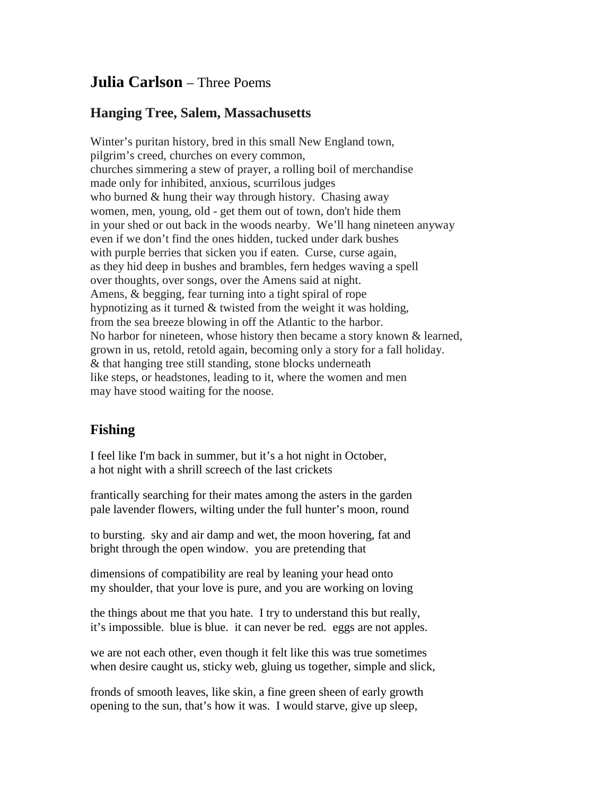## **Julia Carlson** – Three Poems

## **Hanging Tree, Salem, Massachusetts**

Winter's puritan history, bred in this small New England town, pilgrim's creed, churches on every common, churches simmering a stew of prayer, a rolling boil of merchandise made only for inhibited, anxious, scurrilous judges who burned & hung their way through history. Chasing away women, men, young, old - get them out of town, don't hide them in your shed or out back in the woods nearby. We'll hang nineteen anyway even if we don't find the ones hidden, tucked under dark bushes with purple berries that sicken you if eaten. Curse, curse again, as they hid deep in bushes and brambles, fern hedges waving a spell over thoughts, over songs, over the Amens said at night. Amens, & begging, fear turning into a tight spiral of rope hypnotizing as it turned & twisted from the weight it was holding, from the sea breeze blowing in off the Atlantic to the harbor. No harbor for nineteen, whose history then became a story known & learned, grown in us, retold, retold again, becoming only a story for a fall holiday. & that hanging tree still standing, stone blocks underneath like steps, or headstones, leading to it, where the women and men may have stood waiting for the noose.

## **Fishing**

I feel like I'm back in summer, but it's a hot night in October, a hot night with a shrill screech of the last crickets

frantically searching for their mates among the asters in the garden pale lavender flowers, wilting under the full hunter's moon, round

to bursting. sky and air damp and wet, the moon hovering, fat and bright through the open window. you are pretending that

dimensions of compatibility are real by leaning your head onto my shoulder, that your love is pure, and you are working on loving

the things about me that you hate. I try to understand this but really, it's impossible. blue is blue. it can never be red. eggs are not apples.

we are not each other, even though it felt like this was true sometimes when desire caught us, sticky web, gluing us together, simple and slick,

fronds of smooth leaves, like skin, a fine green sheen of early growth opening to the sun, that's how it was. I would starve, give up sleep,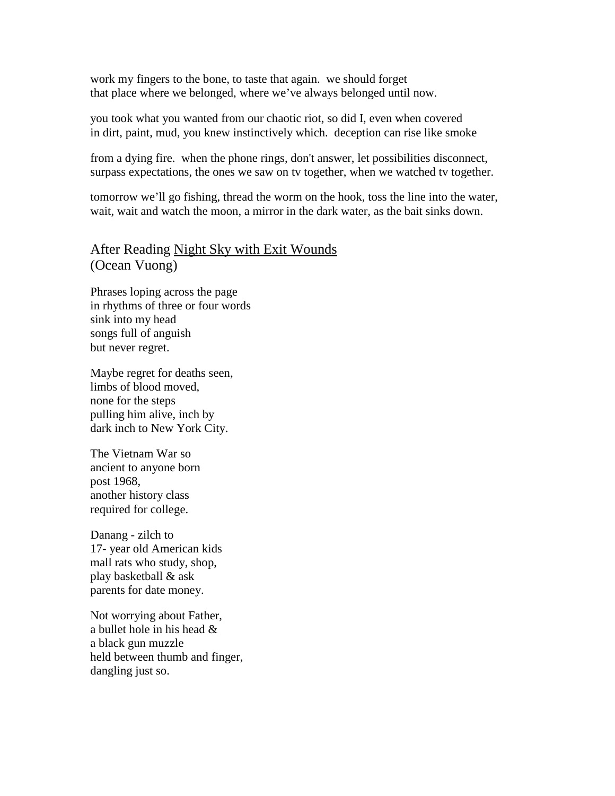work my fingers to the bone, to taste that again. we should forget that place where we belonged, where we've always belonged until now.

you took what you wanted from our chaotic riot, so did I, even when covered in dirt, paint, mud, you knew instinctively which. deception can rise like smoke

from a dying fire. when the phone rings, don't answer, let possibilities disconnect, surpass expectations, the ones we saw on tv together, when we watched tv together.

tomorrow we'll go fishing, thread the worm on the hook, toss the line into the water, wait, wait and watch the moon, a mirror in the dark water, as the bait sinks down.

After Reading Night Sky with Exit Wounds (Ocean Vuong)

Phrases loping across the page in rhythms of three or four words sink into my head songs full of anguish but never regret.

Maybe regret for deaths seen, limbs of blood moved, none for the steps pulling him alive, inch by dark inch to New York City.

The Vietnam War so ancient to anyone born post 1968, another history class required for college.

Danang - zilch to 17- year old American kids mall rats who study, shop, play basketball & ask parents for date money.

Not worrying about Father, a bullet hole in his head & a black gun muzzle held between thumb and finger, dangling just so.